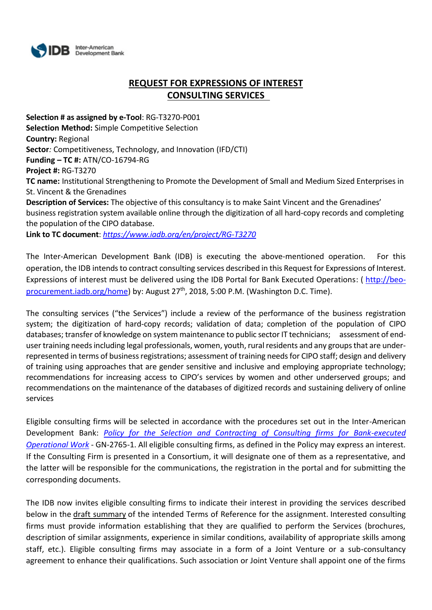

# **REQUEST FOR EXPRESSIONS OF INTEREST CONSULTING SERVICES**

**Selection # as assigned by e-Tool**: RG-T3270-P001 **Selection Method:** Simple Competitive Selection **Country:** Regional **Sector***:* Competitiveness, Technology, and Innovation (IFD/CTI) **Funding – TC #:** ATN/CO-16794-RG **Project #:** RG-T3270 **TC name:** Institutional Strengthening to Promote the Development of Small and Medium Sized Enterprises in St. Vincent & the Grenadines **Description of Services:** The objective of this consultancy is to make Saint Vincent and the Grenadines' business registration system available online through the digitization of all hard-copy records and completing the population of the CIPO database. **Link to TC document**: *https://www.iadb.org/en/project/RG-T3270*

The Inter-American Development Bank (IDB) is executing the above-mentioned operation. For this operation, the IDB intends to contract consulting services described in this Request for Expressions of Interest. Expressions of interest must be delivered using the IDB Portal for Bank Executed Operations: ( [http://beo](http://beo-procurement.iadb.org/home)[procurement.iadb.org/home\)](http://beo-procurement.iadb.org/home) by: August 27<sup>th</sup>, 2018, 5:00 P.M. (Washington D.C. Time).

The consulting services ("the Services") include a review of the performance of the business registration system; the digitization of hard-copy records; validation of data; completion of the population of CIPO databases; transfer of knowledge on system maintenance to public sector IT technicians; assessment of enduser training needs including legal professionals, women, youth, rural residents and any groups that are underrepresented in terms of business registrations; assessment of training needs for CIPO staff; design and delivery of training using approaches that are gender sensitive and inclusive and employing appropriate technology; recommendations for increasing access to CIPO's services by women and other underserved groups; and recommendations on the maintenance of the databases of digitized records and sustaining delivery of online services

Eligible consulting firms will be selected in accordance with the procedures set out in the Inter-American Development Bank: *[Policy for the Selection and Contracting of Consulting firms for Bank-executed](http://idbdocs.iadb.org/wsdocs/getdocument.aspx?DOCNUM=38988574)  [Operational Work](http://idbdocs.iadb.org/wsdocs/getdocument.aspx?DOCNUM=38988574)* - GN-2765-1. All eligible consulting firms, as defined in the Policy may express an interest. If the Consulting Firm is presented in a Consortium, it will designate one of them as a representative, and the latter will be responsible for the communications, the registration in the portal and for submitting the corresponding documents.

The IDB now invites eligible consulting firms to indicate their interest in providing the services described below in the draft summary of the intended Terms of Reference for the assignment. Interested consulting firms must provide information establishing that they are qualified to perform the Services (brochures, description of similar assignments, experience in similar conditions, availability of appropriate skills among staff, etc.). Eligible consulting firms may associate in a form of a Joint Venture or a sub-consultancy agreement to enhance their qualifications. Such association or Joint Venture shall appoint one of the firms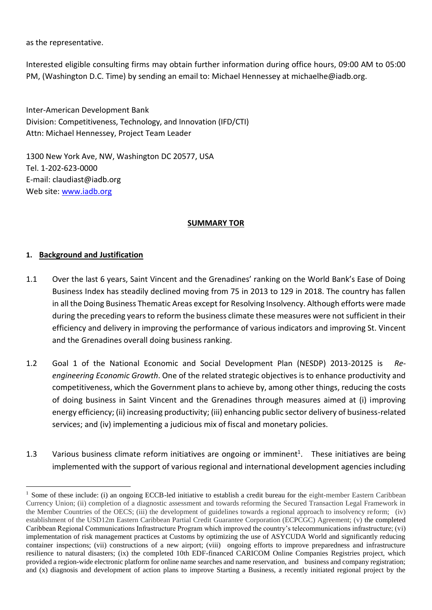as the representative.

Interested eligible consulting firms may obtain further information during office hours, 09:00 AM to 05:00 PM, (Washington D.C. Time) by sending an email to: Michael Hennessey at michaelhe@iadb.org.

Inter-American Development Bank Division: Competitiveness, Technology, and Innovation (IFD/CTI) Attn: Michael Hennessey, Project Team Leader

1300 New York Ave, NW, Washington DC 20577, USA Tel. 1-202-623-0000 E-mail: claudiast@iadb.org Web site: [www.iadb.org](http://www.iadb.org/)

### **SUMMARY TOR**

## **1. Background and Justification**

<u>.</u>

- 1.1 Over the last 6 years, Saint Vincent and the Grenadines' ranking on the World Bank's Ease of Doing Business Index has steadily declined moving from 75 in 2013 to 129 in 2018. The country has fallen in all the Doing Business Thematic Areas except for Resolving Insolvency. Although efforts were made during the preceding years to reform the business climate these measures were not sufficient in their efficiency and delivery in improving the performance of various indicators and improving St. Vincent and the Grenadines overall doing business ranking.
- 1.2 Goal 1 of the National Economic and Social Development Plan (NESDP) 2013-20125 is *Reengineering Economic Growth*. One of the related strategic objectives is to enhance productivity and competitiveness, which the Government plans to achieve by, among other things, reducing the costs of doing business in Saint Vincent and the Grenadines through measures aimed at (i) improving energy efficiency; (ii) increasing productivity; (iii) enhancing public sector delivery of business-related services; and (iv) implementing a judicious mix of fiscal and monetary policies.
- 1.3 Various business climate reform initiatives are ongoing or imminent<sup>1</sup>. These initiatives are being implemented with the support of various regional and international development agencies including

<sup>&</sup>lt;sup>1</sup> Some of these include: (i) an ongoing ECCB-led initiative to establish a credit bureau for the eight-member Eastern Caribbean Currency Union; (ii) completion of a diagnostic assessment and towards reforming the Secured Transaction Legal Framework in the Member Countries of the OECS; (iii) the development of guidelines towards a regional approach to insolvency reform; (iv) establishment of the USD12m Eastern Caribbean Partial Credit Guarantee Corporation (ECPCGC) Agreement; (v) the completed Caribbean Regional Communications Infrastructure Program which improved the country's telecommunications infrastructure; (vi) implementation of risk management practices at Customs by optimizing the use of ASYCUDA World and significantly reducing container inspections; (vii) constructions of a new airport; (viii) ongoing efforts to improve preparedness and infrastructure resilience to natural disasters; (ix) the completed 10th EDF-financed CARICOM Online Companies Registries project, which provided a region-wide electronic platform for online name searches and name reservation, and business and company registration; and (x) diagnosis and development of action plans to improve Starting a Business, a recently initiated regional project by the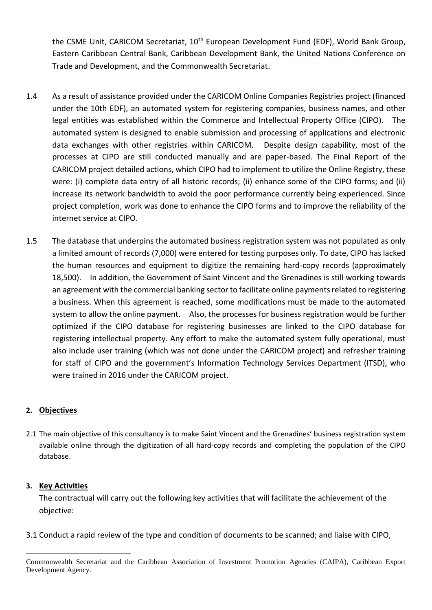the CSME Unit, CARICOM Secretariat, 10<sup>th</sup> European Development Fund (EDF), World Bank Group, Eastern Caribbean Central Bank, Caribbean Development Bank, the United Nations Conference on Trade and Development, and the Commonwealth Secretariat.

- 1.4 As a result of assistance provided under the CARICOM Online Companies Registries project (financed under the 10th EDF), an automated system for registering companies, business names, and other legal entities was established within the Commerce and Intellectual Property Office (CIPO). The automated system is designed to enable submission and processing of applications and electronic data exchanges with other registries within CARICOM. Despite design capability, most of the processes at CIPO are still conducted manually and are paper-based. The Final Report of the CARICOM project detailed actions, which CIPO had to implement to utilize the Online Registry, these were: (i) complete data entry of all historic records; (ii) enhance some of the CIPO forms; and (ii) increase its network bandwidth to avoid the poor performance currently being experienced. Since project completion, work was done to enhance the CIPO forms and to improve the reliability of the internet service at CIPO.
- 1.5 The database that underpins the automated business registration system was not populated as only a limited amount of records (7,000) were entered for testing purposes only. To date, CIPO has lacked the human resources and equipment to digitize the remaining hard-copy records (approximately 18,500). In addition, the Government of Saint Vincent and the Grenadines is still working towards an agreement with the commercial banking sector to facilitate online payments related to registering a business. When this agreement is reached, some modifications must be made to the automated system to allow the online payment. Also, the processes for business registration would be further optimized if the CIPO database for registering businesses are linked to the CIPO database for registering intellectual property. Any effort to make the automated system fully operational, must also include user training (which was not done under the CARICOM project) and refresher training for staff of CIPO and the government's Information Technology Services Department (ITSD), who were trained in 2016 under the CARICOM project.

# **2. Objectives**

2.1 The main objective of this consultancy is to make Saint Vincent and the Grenadines' business registration system available online through the digitization of all hard-copy records and completing the population of the CIPO database.

## **3. Key Activities**

1

The contractual will carry out the following key activities that will facilitate the achievement of the objective:

3.1 Conduct a rapid review of the type and condition of documents to be scanned; and liaise with CIPO,

Commonwealth Secretariat and the Caribbean Association of Investment Promotion Agencies (CAIPA), Caribbean Export Development Agency.